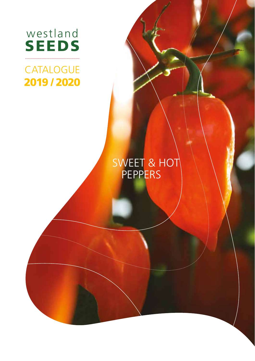

# **CATALOGUE** 2019 / 2020

SEEDS 1999

westland in the second state.

# SWEET & HOT **PEPPERS**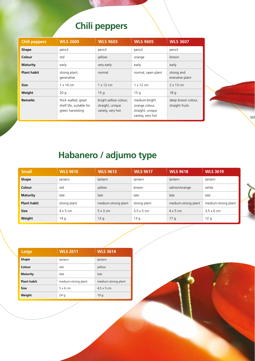# **Chili peppers**

| <b>Chili peppers</b> | <b>WLS 2600</b>                                                     | <b>WLS 9603</b>                                                | <b>WLS 9605</b>                                                          | <b>WLS 3607</b>                       |
|----------------------|---------------------------------------------------------------------|----------------------------------------------------------------|--------------------------------------------------------------------------|---------------------------------------|
| <b>Shape</b>         | pencil                                                              | pencil                                                         | pencil                                                                   | pencil                                |
| Colour               | red                                                                 | yellow                                                         | orange                                                                   | brown                                 |
| <b>Maturity</b>      | early                                                               | very early                                                     | early                                                                    | early                                 |
| <b>Plant habit</b>   | strong plant,<br>generative                                         | normal                                                         | normal, open plant                                                       | strong and<br>enerative plant         |
| <b>Size</b>          | $1 \times 14$ cm                                                    | $1 \times 12$ cm                                               | $1 \times 12$ cm                                                         | $2 \times 13$ cm                      |
| Weight               | 20q                                                                 | 15q                                                            | 15q                                                                      | 18q                                   |
| <b>Remarks</b>       | thick walled, great<br>shelf life, suitable for<br>green harvesting | bright yellow colour,<br>straight, unique<br>variety, very hot | medium-bright<br>orange colour,<br>straight, unique<br>variety, very hot | deep brown colour,<br>straight fruits |



| <b>Small</b>       | <b>WLS 9610</b> | <b>WLS 9613</b>     | <b>WLS 9617</b>   | <b>WLS 9618</b>     | <b>WLS 3619</b>     |   |
|--------------------|-----------------|---------------------|-------------------|---------------------|---------------------|---|
| Shape              | lantern         | lantern             | lantern           | lantern             | lantern             |   |
| Colour             | red             | yellow              | brown             | salmon/orange       | white               |   |
| <b>Maturity</b>    | late            | late                | late              | late                | late                |   |
| <b>Plant habit</b> | strong plant    | medium-strong plant | strong plant      | medium-strong plant | medium-strong plant |   |
| <b>Size</b>        | $4 \times 5$ cm | $5 \times 3$ cm     | $3.5 \times 5$ cm | $4 \times 5$ cm     | $3.5 \times 6$ cm   |   |
| Weight             | 14 g            | 13q                 | 13 g              | 17q                 | 12 <sub>q</sub>     | . |

 $W$ 

| Large              | <b>WLS 2611</b>     | <b>WLS 3614</b>     |
|--------------------|---------------------|---------------------|
| Shape              | lantern             | lantern             |
| Colour             | red                 | yellow              |
| <b>Maturity</b>    | late                | late                |
| <b>Plant habit</b> | medium-strong plant | medium-strong plant |
| Size               | $5 \times 6$ cm     | $4.5 \times 5$ cm   |
| Weight             | 24q                 | 19q                 |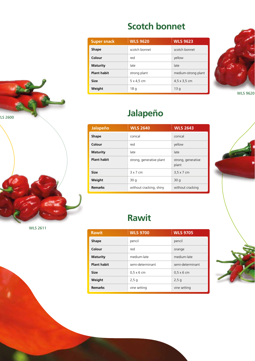#### **Scotch bonnet**

| <b>Super snack</b> | <b>WLS 9620</b>   | <b>WLS 9623</b>             |
|--------------------|-------------------|-----------------------------|
| <b>Shape</b>       | scotch bonnet     | scotch bonnet               |
| Colour             | red               | yellow                      |
| <b>Maturity</b>    | late              | late                        |
| <b>Plant habit</b> | strong plant      | medium-strong plant         |
| <b>Size</b>        | $5 \times 4.5$ cm | $4,5 \times 3,5 \text{ cm}$ |
| Weight             | 18q               | 13 g                        |



WLS 9620



| Jalapeño           | <b>WLS 2640</b>          | <b>WLS 2643</b>             |
|--------------------|--------------------------|-----------------------------|
| <b>Shape</b>       | conical                  | conical                     |
| Colour             | red                      | yellow                      |
| <b>Maturity</b>    | late                     | late                        |
| <b>Plant habit</b> | strong, generative plant | strong, generative<br>plant |
| <b>Size</b>        | $3 \times 7$ cm          | $3.5 \times 7$ cm           |
| Weight             | 30q                      | 30q                         |
| <b>Remarks</b>     | without cracking, shiny  | without cracking            |

| <b>Rawit</b>       | <b>WLS 9700</b>   | <b>WLS 9705</b>   |
|--------------------|-------------------|-------------------|
| Shape              | pencil            | pencil            |
| Colour             | red               | orange            |
| <b>Maturity</b>    | medium-late       | medium-late       |
| <b>Plant habit</b> | semi-determinant  | semi-determinant  |
| Size               | $0,5 \times 6$ cm | $0,5 \times 6$ cm |
| Weight             | 2,5g              | 2,5g              |
| Remarks            | vine setting      | vine setting      |





WLS 2611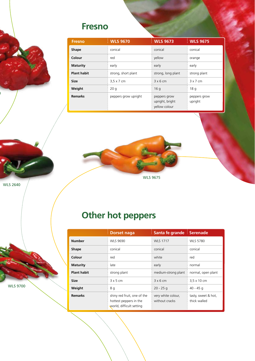#### **Fresno**

| <b>Fresno</b>      | <b>WLS 9670</b>      | <b>WLS 9673</b>                                  | <b>WLS 9675</b>         |
|--------------------|----------------------|--------------------------------------------------|-------------------------|
| <b>Shape</b>       | conical              | conical                                          | conical                 |
| Colour             | red                  | yellow                                           | orange                  |
| <b>Maturity</b>    | early                | early                                            | early                   |
| <b>Plant habit</b> | strong, short plant  | strong, long plant                               | strong plant            |
| Size               | $3.5 \times 7$ cm    | 3x6cm                                            | $3 \times 7$ cm         |
| Weight             | 20q                  | 16q                                              | 18 g                    |
| <b>Remarks</b>     | peppers grow upright | peppers grow<br>upright, bright<br>vellow colour | peppers grow<br>upright |



WLS 2640

 $\overline{)}$ 

**Other hot peppers** 

|                    | <b>Dorset naga</b>                                    | Santa fe grande Serenade             |                                     |
|--------------------|-------------------------------------------------------|--------------------------------------|-------------------------------------|
| <b>Number</b>      | <b>WLS 9690</b>                                       | <b>WLS 1717</b>                      | <b>WLS 5780</b>                     |
| Shape              | conical                                               | conical                              | conical                             |
| Colour             | red                                                   | white                                | red                                 |
| <b>Maturity</b>    | late                                                  | early                                | normal                              |
| <b>Plant habit</b> | strong plant                                          | medium-strong plant                  | normal, open plant                  |
| Size               | 3x5cm                                                 | $3x6$ cm                             | 3,5 x 10 cm                         |
| Weight             | 8 g                                                   | $20 - 25g$                           | 40 - 45 g                           |
| <b>Remarks</b>     | shiny red fruit, one of the<br>hottest peppers in the | very white colour,<br>without cracks | tasty, sweet & hot,<br>thick walled |
|                    |                                                       | world, difficult setting             |                                     |

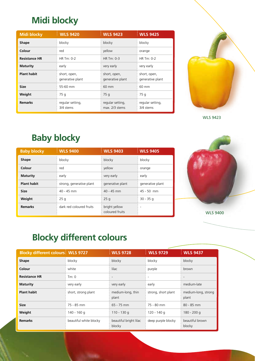### **Midi blocky**

| <b>Midi blocky</b>   | <b>WLS 9420</b>                  | <b>WLS 9423</b>                    | <b>WLS 9425</b>                  |
|----------------------|----------------------------------|------------------------------------|----------------------------------|
| <b>Shape</b>         | blocky                           | blocky                             | blocky                           |
| Colour               | red                              | yellow                             | orange                           |
| <b>Resistance HR</b> | HR Tm: 0-2                       | HR Tm: 0-3                         | HR Tm: 0-2                       |
| <b>Maturity</b>      | early                            | very early                         | very early                       |
| <b>Plant habit</b>   | short, open,<br>generative plant | short, open,<br>generative plant   | short, open,<br>generative plant |
| Size                 | 55-60 mm                         | 60 mm                              | 60 mm                            |
| Weight               | 75 g                             | 75 g                               | 75 g                             |
| <b>Remarks</b>       | regular setting,<br>3/4 stems    | regular setting,<br>max. 2/3 stems | regular setting,<br>3/4 stems    |



WLS 9423

#### **Baby blocky**

| <b>Baby blocky</b> | <b>WLS 9400</b>          | <b>WLS 9403</b>                  | <b>WLS 9405</b>  |
|--------------------|--------------------------|----------------------------------|------------------|
| <b>Shape</b>       | blocky                   | blocky                           | blocky           |
| Colour             | red                      | vellow                           | orange           |
| <b>Maturity</b>    | early                    | very early                       | early            |
| <b>Plant habit</b> | strong, generative plant | generative plant                 | generative plant |
| <b>Size</b>        | $40 - 45$ mm             | $40 - 45$ mm                     | $45 - 50$ mm     |
| Weight             | 25q                      | 25q                              | $30 - 35q$       |
| <b>Remarks</b>     | dark red coloured fruits | bright yellow<br>coloured fruits |                  |



## **Blocky different colours**

| <b>Blocky different colours WLS 9727</b> |                        | <b>WLS 9728</b>                  | <b>WLS 9729</b>          | <b>WLS 9437</b>              |
|------------------------------------------|------------------------|----------------------------------|--------------------------|------------------------------|
| <b>Shape</b>                             | blocky                 | blocky                           | blocky                   | blocky                       |
| Colour                                   | white                  | lilac                            | purple                   | brown                        |
| <b>Resistance HR</b>                     | Tm: 0                  | $\overline{\phantom{a}}$         | $\overline{\phantom{a}}$ | $\overline{\phantom{0}}$     |
| <b>Maturity</b>                          | very early             | very early                       | early                    | medium-late                  |
| <b>Plant habit</b>                       | short, strong plant    | medium-long, thin<br>plant       | strong, short plant      | medium-long, strong<br>plant |
| <b>Size</b>                              | 75 - 85 mm             | $65 - 75$ mm                     | 75 - 80 mm               | $80 - 85$ mm                 |
| Weight                                   | 140 - 160 g            | $110 - 130q$                     | 120 - 140 g              | 180 - 200 g                  |
| <b>Remarks</b>                           | beautiful white blocky | beautiful bright lilac<br>blocky | deep purple blocky       | beautiful brown<br>blocky    |